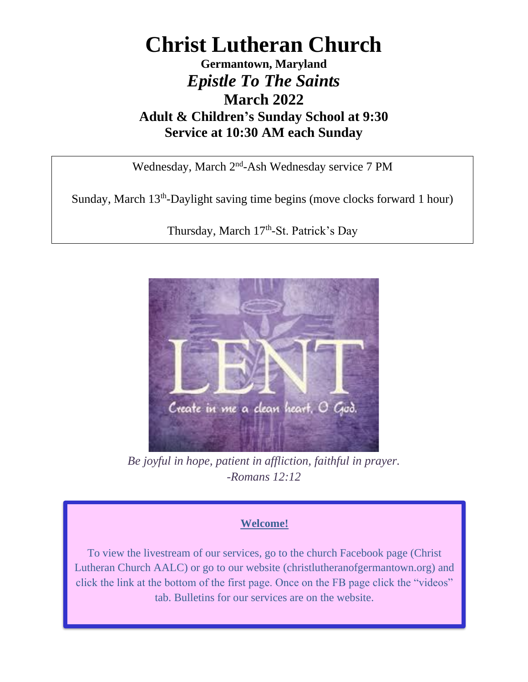# **Christ Lutheran Church**

### **Germantown, Maryland** *Epistle To The Saints* **March 2022 Adult & Children's Sunday School at 9:30 Service at 10:30 AM each Sunday**

Wednesday, March 2<sup>nd</sup>-Ash Wednesday service 7 PM

Sunday, March 13<sup>th</sup>-Daylight saving time begins (move clocks forward 1 hour)

Thursday, March 17<sup>th</sup>-St. Patrick's Day



*Be joyful in hope, patient in affliction, faithful in prayer. -Romans 12:12*

### **Welcome!**

To view the livestream of our services, go to the church Facebook page (Christ Lutheran Church AALC) or go to our website (christlutheranofgermantown.org) and click the link at the bottom of the first page. Once on the FB page click the "videos" tab. Bulletins for our services are on the website.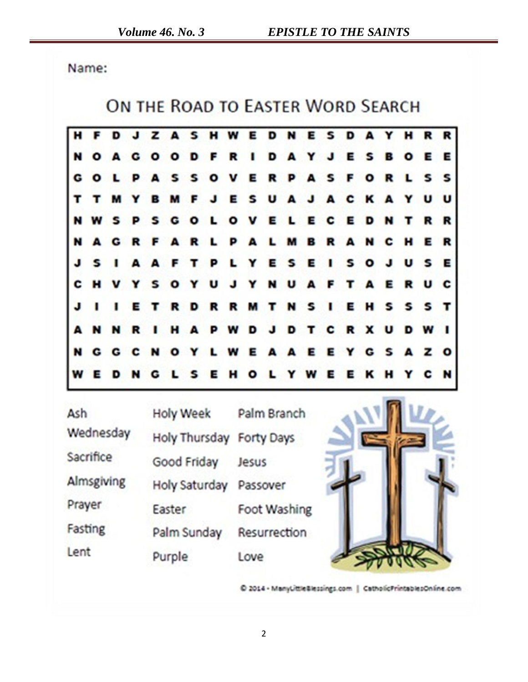Name:

## ON THE ROAD TO EASTER WORD SEARCH



| Ash        | <b>Holy Week</b>         | Palm Branch  |  |
|------------|--------------------------|--------------|--|
| Wednesday  | Holy Thursday Forty Days |              |  |
| Sacrifice  | Good Friday              | Jesus        |  |
| Almsgiving | Holy Saturday            | Passover     |  |
| Prayer     | Easter                   | Foot Washing |  |
| Fasting    | Palm Sunday              | Resurrection |  |
| Lent       | Purple                   | Love         |  |

C 2014 - ManyLittleSlessings.com | CatholicPrintablesOnline.com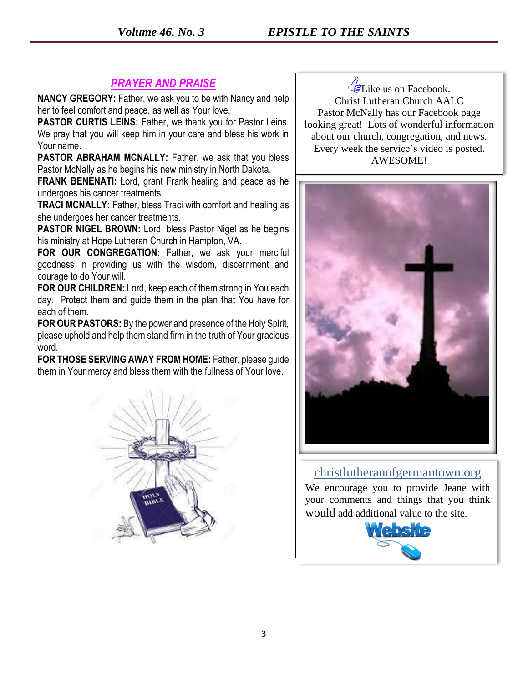### *PRAYER AND PRAISE*

**NANCY GREGORY:** Father, we ask you to be with Nancy and help her to feel comfort and peace, as well as Your love.

**PASTOR CURTIS LEINS:** Father, we thank you for Pastor Leins. We pray that you will keep him in your care and bless his work in Your name.

**PASTOR ABRAHAM MCNALLY:** Father, we ask that you bless Pastor McNally as he begins his new ministry in North Dakota.

**FRANK BENENATI:** Lord, grant Frank healing and peace as he undergoes his cancer treatments.

**TRACI MCNALLY:** Father, bless Traci with comfort and healing as she undergoes her cancer treatments.

**PASTOR NIGEL BROWN:** Lord, bless Pastor Nigel as he begins his ministry at Hope Lutheran Church in Hampton, VA.

FOR OUR CONGREGATION: Father, we ask your merciful goodness in providing us with the wisdom, discernment and courage to do Your will.

**FOR OUR CHILDREN:** Lord, keep each of them strong in You each day. Protect them and guide them in the plan that You have for each of them.

**FOR OUR PASTORS:** By the power and presence of the Holy Spirit, please uphold and help them stand firm in the truth of Your gracious word.

**FOR THOSE SERVING AWAY FROM HOME:** Father, please guide them in Your mercy and bless them with the fullness of Your love.



Like us on Facebook. Christ Lutheran Church AALC Pastor McNally has our Facebook page looking great! Lots of wonderful information about our church, congregation, and news. Every week the service's video is posted. AWESOME!



#### christlutheranofgermantown.org

We encourage you to provide Jeane with your comments and things that you think would add additional value to the site.

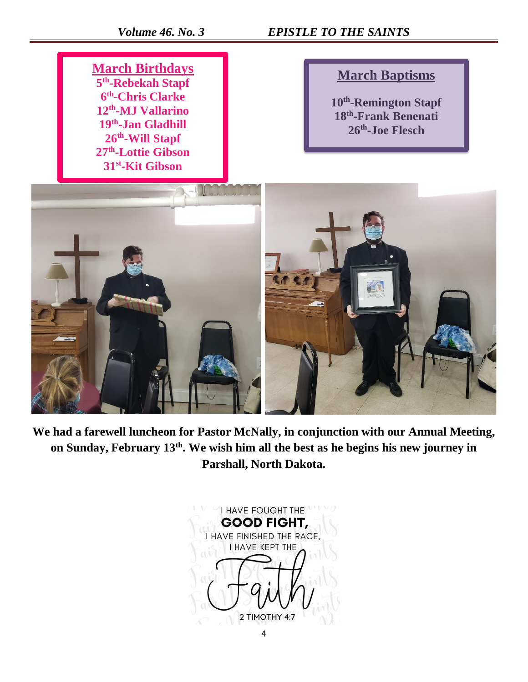*Volume 46. No. 3 EPISTLE TO THE SAINTS* 

**March Birthdays th -Rebekah Stapf th -Chris Clarke th -MJ Vallarino th -Jan Gladhill th -Will Stapf th -Lottie Gibson st -Kit Gibson**

### **March Baptisms**

**10th -Remington Stapf 18th -Frank Benenati 26th -Joe Flesch**



**We had a farewell luncheon for Pastor McNally, in conjunction with our Annual Meeting, on Sunday, February 13th. We wish him all the best as he begins his new journey in Parshall, North Dakota.**

**I HAVE FOUGHT THE GOOD FIGHT,** I HAVE FINISHED THE RACE, **I HAVE KEPT THE** 2 TIMOTHY 4:7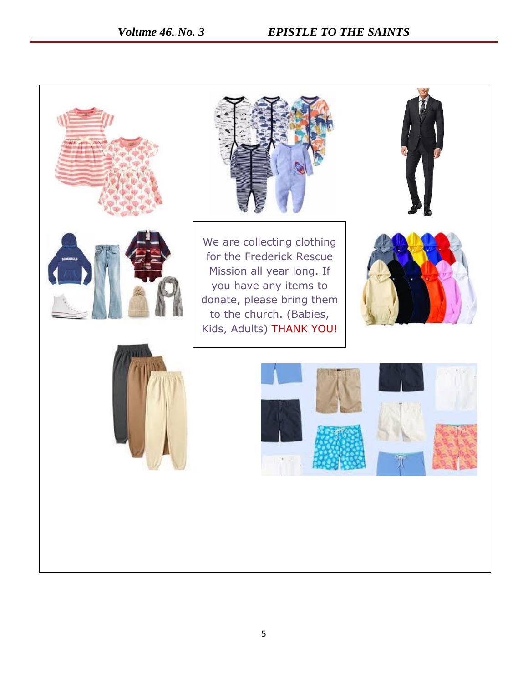